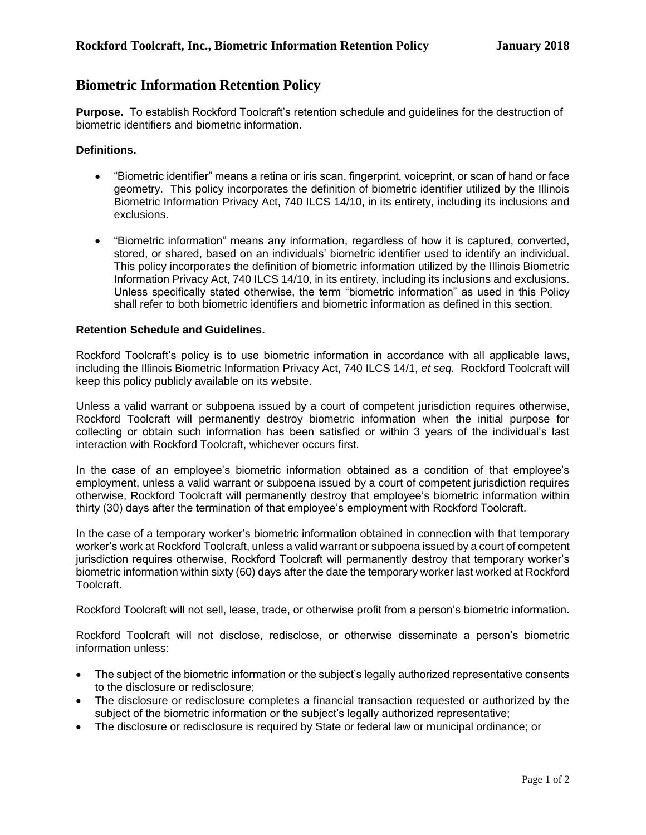## **Biometric Information Retention Policy**

**Purpose.** To establish Rockford Toolcraft's retention schedule and guidelines for the destruction of biometric identifiers and biometric information.

## **Definitions.**

- "Biometric identifier" means a retina or iris scan, fingerprint, voiceprint, or scan of hand or face geometry. This policy incorporates the definition of biometric identifier utilized by the Illinois Biometric Information Privacy Act, 740 ILCS 14/10, in its entirety, including its inclusions and exclusions.
- "Biometric information" means any information, regardless of how it is captured, converted, stored, or shared, based on an individuals' biometric identifier used to identify an individual. This policy incorporates the definition of biometric information utilized by the Illinois Biometric Information Privacy Act, 740 ILCS 14/10, in its entirety, including its inclusions and exclusions. Unless specifically stated otherwise, the term "biometric information" as used in this Policy shall refer to both biometric identifiers and biometric information as defined in this section.

## **Retention Schedule and Guidelines.**

Rockford Toolcraft's policy is to use biometric information in accordance with all applicable laws, including the Illinois Biometric Information Privacy Act, 740 ILCS 14/1, *et seq.* Rockford Toolcraft will keep this policy publicly available on its website.

Unless a valid warrant or subpoena issued by a court of competent jurisdiction requires otherwise, Rockford Toolcraft will permanently destroy biometric information when the initial purpose for collecting or obtain such information has been satisfied or within 3 years of the individual's last interaction with Rockford Toolcraft, whichever occurs first.

In the case of an employee's biometric information obtained as a condition of that employee's employment, unless a valid warrant or subpoena issued by a court of competent jurisdiction requires otherwise, Rockford Toolcraft will permanently destroy that employee's biometric information within thirty (30) days after the termination of that employee's employment with Rockford Toolcraft.

In the case of a temporary worker's biometric information obtained in connection with that temporary worker's work at Rockford Toolcraft, unless a valid warrant or subpoena issued by a court of competent jurisdiction requires otherwise, Rockford Toolcraft will permanently destroy that temporary worker's biometric information within sixty (60) days after the date the temporary worker last worked at Rockford Toolcraft.

Rockford Toolcraft will not sell, lease, trade, or otherwise profit from a person's biometric information.

Rockford Toolcraft will not disclose, redisclose, or otherwise disseminate a person's biometric information unless:

- The subject of the biometric information or the subject's legally authorized representative consents to the disclosure or redisclosure;
- The disclosure or redisclosure completes a financial transaction requested or authorized by the subject of the biometric information or the subject's legally authorized representative;
- The disclosure or redisclosure is required by State or federal law or municipal ordinance; or